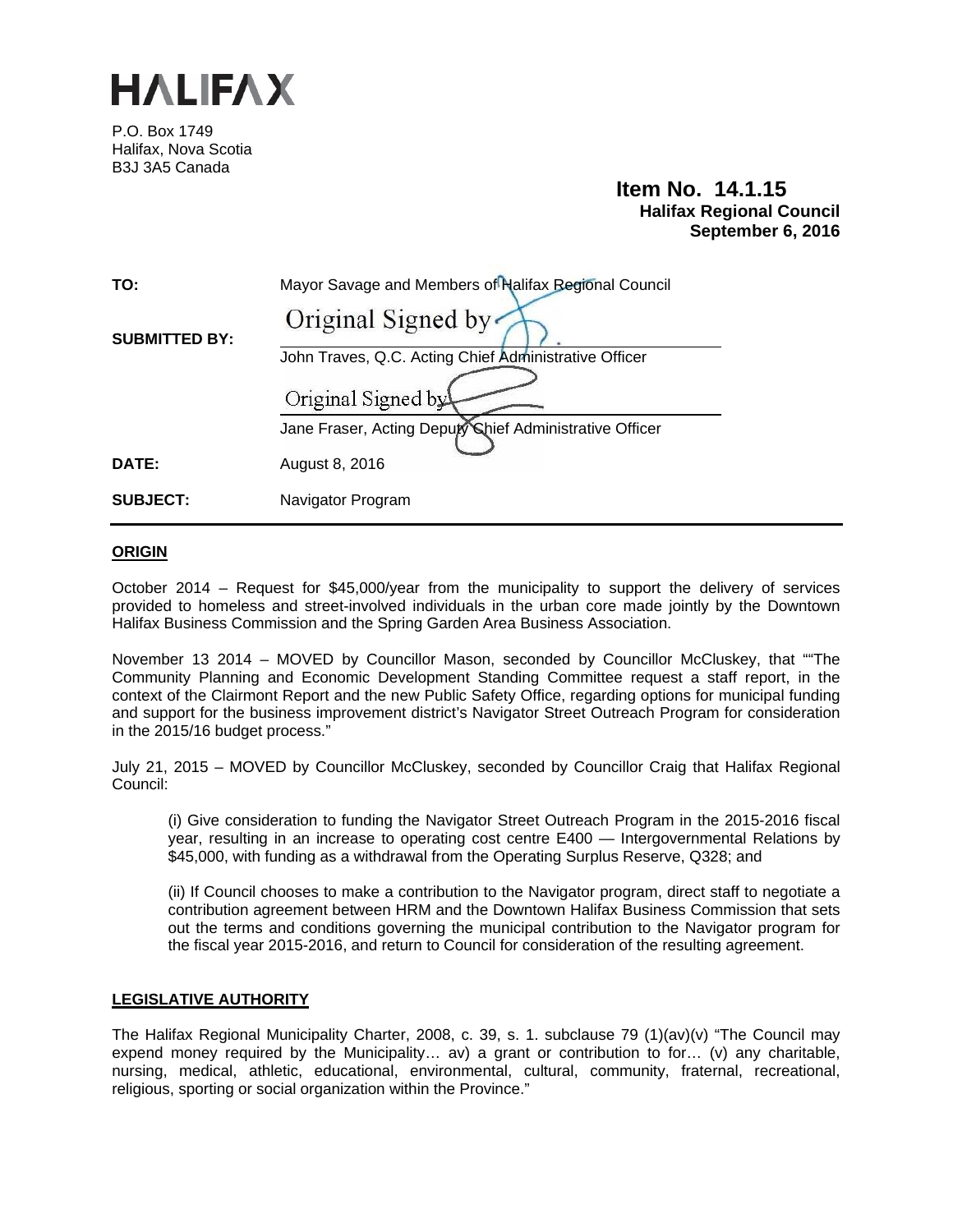

P.O. Box 1749 Halifax, Nova Scotia B3J 3A5 Canada

# **Item No. 14.1.15 Halifax Regional Council September 6, 2016**

| TO:                  | Mayor Savage and Members of Halifax Regional Council    |
|----------------------|---------------------------------------------------------|
| <b>SUBMITTED BY:</b> | Original Signed by                                      |
|                      | John Traves, Q.C. Acting Chief Administrative Officer   |
|                      | Original Signed by                                      |
|                      | Jane Fraser, Acting Deputy Chief Administrative Officer |
| DATE:                | August 8, 2016                                          |
| <b>SUBJECT:</b>      | Navigator Program                                       |

# **ORIGIN**

October 2014 – Request for \$45,000/year from the municipality to support the delivery of services provided to homeless and street-involved individuals in the urban core made jointly by the Downtown Halifax Business Commission and the Spring Garden Area Business Association.

November 13 2014 – MOVED by Councillor Mason, seconded by Councillor McCluskey, that ""The Community Planning and Economic Development Standing Committee request a staff report, in the context of the Clairmont Report and the new Public Safety Office, regarding options for municipal funding and support for the business improvement district's Navigator Street Outreach Program for consideration in the 2015/16 budget process."

July 21, 2015 – MOVED by Councillor McCluskey, seconded by Councillor Craig that Halifax Regional Council:

(i) Give consideration to funding the Navigator Street Outreach Program in the 2015-2016 fiscal year, resulting in an increase to operating cost centre E400 — Intergovernmental Relations by \$45,000, with funding as a withdrawal from the Operating Surplus Reserve, Q328; and

(ii) If Council chooses to make a contribution to the Navigator program, direct staff to negotiate a contribution agreement between HRM and the Downtown Halifax Business Commission that sets out the terms and conditions governing the municipal contribution to the Navigator program for the fiscal year 2015-2016, and return to Council for consideration of the resulting agreement.

#### **LEGISLATIVE AUTHORITY**

The Halifax Regional Municipality Charter, 2008, c. 39, s. 1. subclause 79 (1)(av)(v) "The Council may expend money required by the Municipality... av) a grant or contribution to for... (v) any charitable, nursing, medical, athletic, educational, environmental, cultural, community, fraternal, recreational, religious, sporting or social organization within the Province."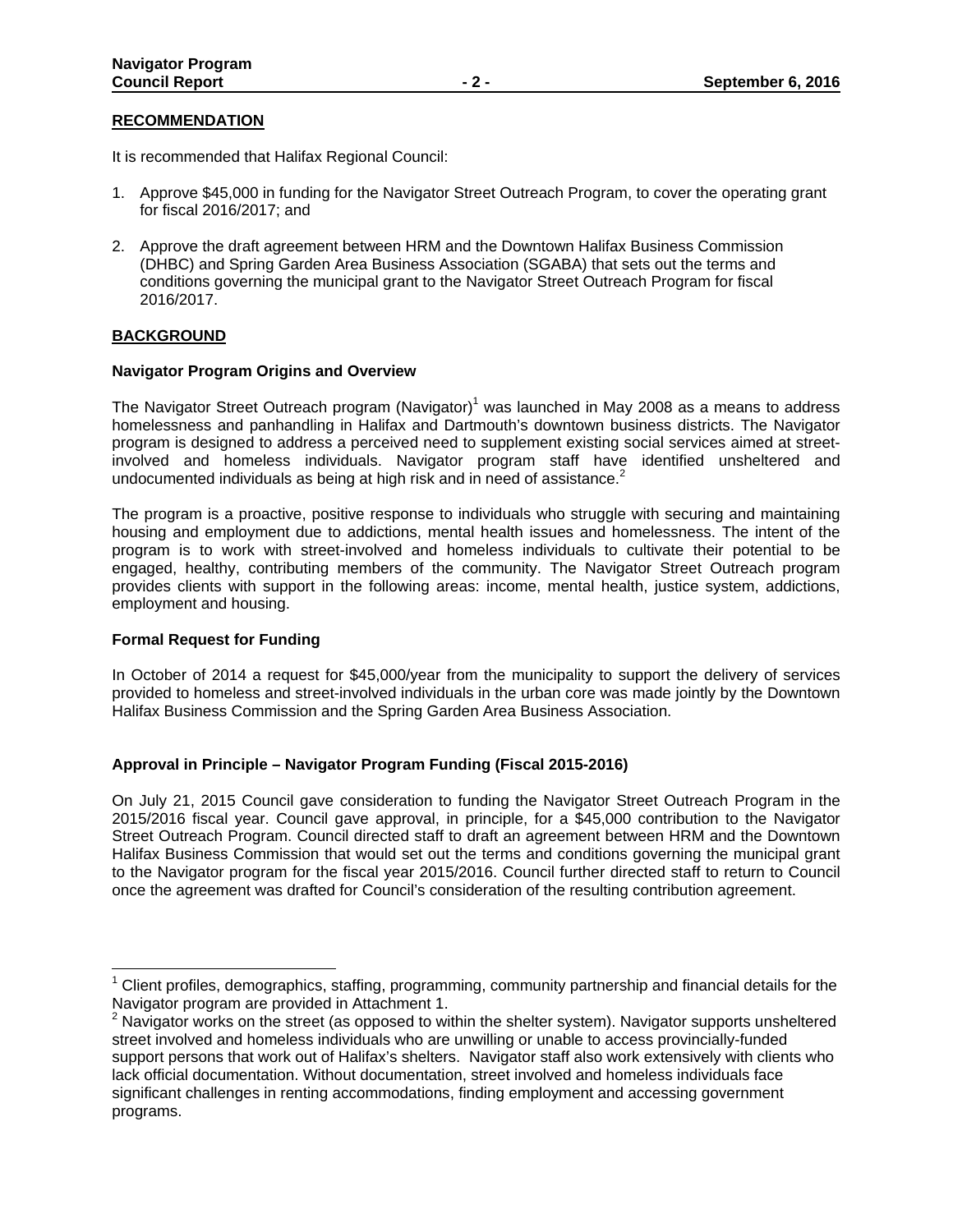#### **RECOMMENDATION**

It is recommended that Halifax Regional Council:

- 1. Approve \$45,000 in funding for the Navigator Street Outreach Program, to cover the operating grant for fiscal 2016/2017; and
- 2. Approve the draft agreement between HRM and the Downtown Halifax Business Commission (DHBC) and Spring Garden Area Business Association (SGABA) that sets out the terms and conditions governing the municipal grant to the Navigator Street Outreach Program for fiscal 2016/2017.

# **BACKGROUND**

#### **Navigator Program Origins and Overview**

The Navigator Street Outreach program (Navigator)<sup>1</sup> was launched in May 2008 as a means to address homelessness and panhandling in Halifax and Dartmouth's downtown business districts. The Navigator program is designed to address a perceived need to supplement existing social services aimed at streetinvolved and homeless individuals. Navigator program staff have identified unsheltered and undocumented individuals as being at high risk and in need of assistance.<sup>2</sup>

The program is a proactive, positive response to individuals who struggle with securing and maintaining housing and employment due to addictions, mental health issues and homelessness. The intent of the program is to work with street-involved and homeless individuals to cultivate their potential to be engaged, healthy, contributing members of the community. The Navigator Street Outreach program provides clients with support in the following areas: income, mental health, justice system, addictions, employment and housing.

# **Formal Request for Funding**

In October of 2014 a request for \$45,000/year from the municipality to support the delivery of services provided to homeless and street-involved individuals in the urban core was made jointly by the Downtown Halifax Business Commission and the Spring Garden Area Business Association.

# **Approval in Principle – Navigator Program Funding (Fiscal 2015-2016)**

On July 21, 2015 Council gave consideration to funding the Navigator Street Outreach Program in the 2015/2016 fiscal year. Council gave approval, in principle, for a \$45,000 contribution to the Navigator Street Outreach Program. Council directed staff to draft an agreement between HRM and the Downtown Halifax Business Commission that would set out the terms and conditions governing the municipal grant to the Navigator program for the fiscal year 2015/2016. Council further directed staff to return to Council once the agreement was drafted for Council's consideration of the resulting contribution agreement.

<sup>&</sup>lt;sup>1</sup> Client profiles, demographics, staffing, programming, community partnership and financial details for the Navigator program are provided in Attachment 1.

 $2$  Navigator works on the street (as opposed to within the shelter system). Navigator supports unsheltered street involved and homeless individuals who are unwilling or unable to access provincially-funded support persons that work out of Halifax's shelters. Navigator staff also work extensively with clients who lack official documentation. Without documentation, street involved and homeless individuals face significant challenges in renting accommodations, finding employment and accessing government programs.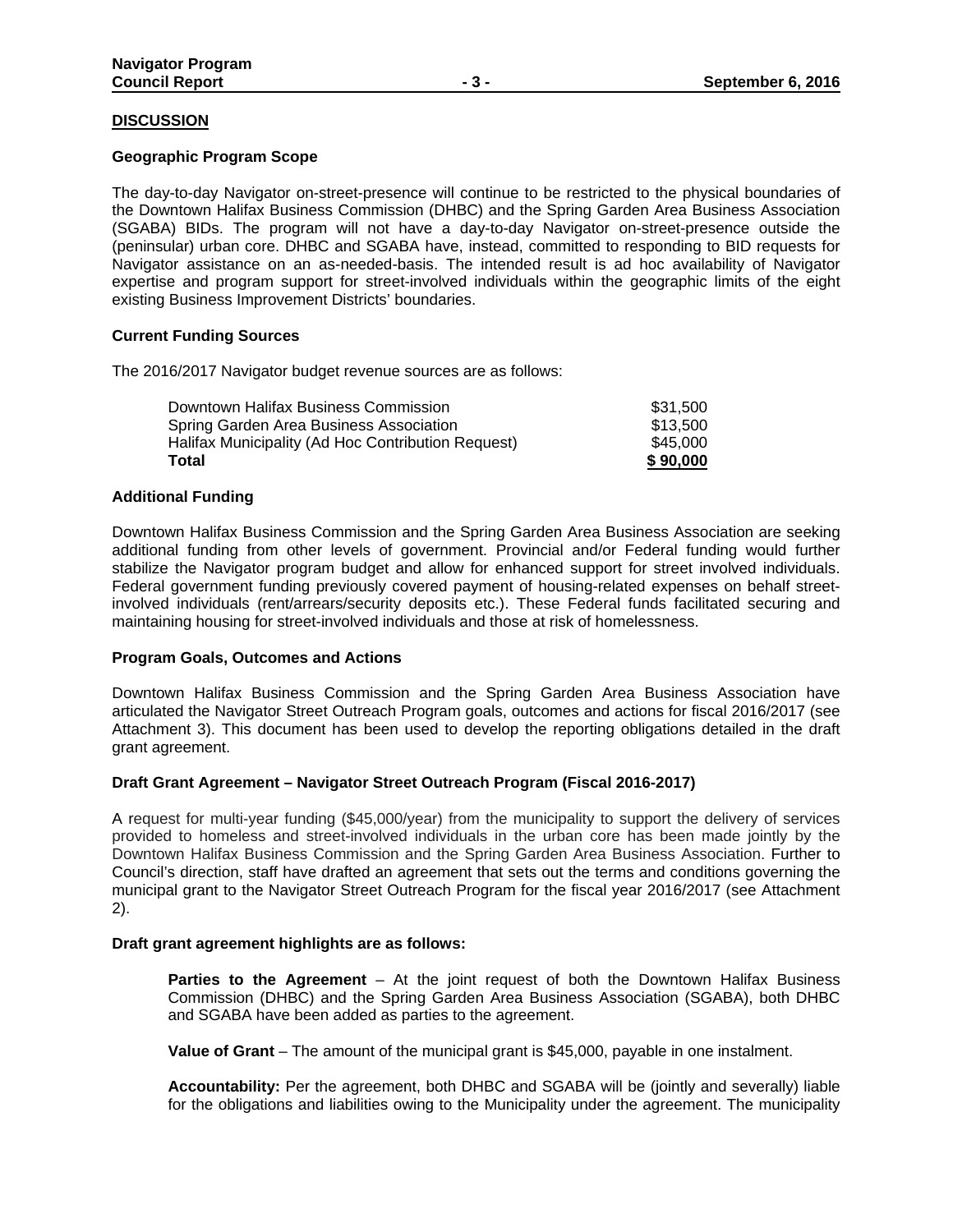#### **DISCUSSION**

#### **Geographic Program Scope**

The day-to-day Navigator on-street-presence will continue to be restricted to the physical boundaries of the Downtown Halifax Business Commission (DHBC) and the Spring Garden Area Business Association (SGABA) BIDs. The program will not have a day-to-day Navigator on-street-presence outside the (peninsular) urban core. DHBC and SGABA have, instead, committed to responding to BID requests for Navigator assistance on an as-needed-basis. The intended result is ad hoc availability of Navigator expertise and program support for street-involved individuals within the geographic limits of the eight existing Business Improvement Districts' boundaries.

#### **Current Funding Sources**

The 2016/2017 Navigator budget revenue sources are as follows:

| Total                                              | \$90,000 |
|----------------------------------------------------|----------|
| Halifax Municipality (Ad Hoc Contribution Request) | \$45,000 |
| Spring Garden Area Business Association            | \$13.500 |
| Downtown Halifax Business Commission               | \$31.500 |

#### **Additional Funding**

Downtown Halifax Business Commission and the Spring Garden Area Business Association are seeking additional funding from other levels of government. Provincial and/or Federal funding would further stabilize the Navigator program budget and allow for enhanced support for street involved individuals. Federal government funding previously covered payment of housing-related expenses on behalf streetinvolved individuals (rent/arrears/security deposits etc.). These Federal funds facilitated securing and maintaining housing for street-involved individuals and those at risk of homelessness.

#### **Program Goals, Outcomes and Actions**

Downtown Halifax Business Commission and the Spring Garden Area Business Association have articulated the Navigator Street Outreach Program goals, outcomes and actions for fiscal 2016/2017 (see Attachment 3). This document has been used to develop the reporting obligations detailed in the draft grant agreement.

#### **Draft Grant Agreement – Navigator Street Outreach Program (Fiscal 2016-2017)**

A request for multi-year funding (\$45,000/year) from the municipality to support the delivery of services provided to homeless and street-involved individuals in the urban core has been made jointly by the Downtown Halifax Business Commission and the Spring Garden Area Business Association. Further to Council's direction, staff have drafted an agreement that sets out the terms and conditions governing the municipal grant to the Navigator Street Outreach Program for the fiscal year 2016/2017 (see Attachment 2).

#### **Draft grant agreement highlights are as follows:**

**Parties to the Agreement** – At the joint request of both the Downtown Halifax Business Commission (DHBC) and the Spring Garden Area Business Association (SGABA), both DHBC and SGABA have been added as parties to the agreement.

**Value of Grant** – The amount of the municipal grant is \$45,000, payable in one instalment.

**Accountability:** Per the agreement, both DHBC and SGABA will be (jointly and severally) liable for the obligations and liabilities owing to the Municipality under the agreement. The municipality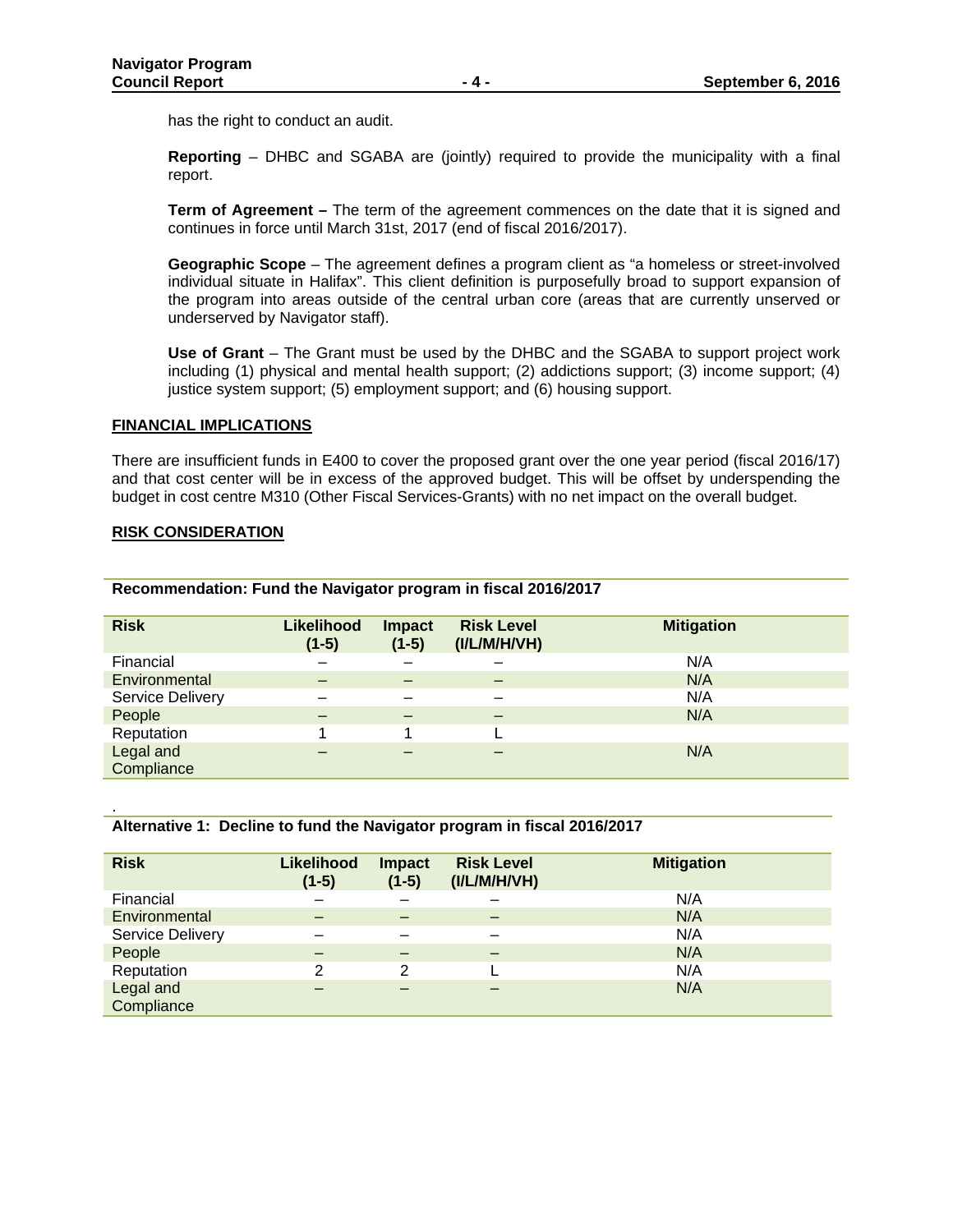has the right to conduct an audit.

**Reporting** – DHBC and SGABA are (jointly) required to provide the municipality with a final report.

**Term of Agreement –** The term of the agreement commences on the date that it is signed and continues in force until March 31st, 2017 (end of fiscal 2016/2017).

**Geographic Scope** – The agreement defines a program client as "a homeless or street-involved individual situate in Halifax". This client definition is purposefully broad to support expansion of the program into areas outside of the central urban core (areas that are currently unserved or underserved by Navigator staff).

**Use of Grant** – The Grant must be used by the DHBC and the SGABA to support project work including (1) physical and mental health support; (2) addictions support; (3) income support; (4) justice system support; (5) employment support; and (6) housing support.

#### **FINANCIAL IMPLICATIONS**

There are insufficient funds in E400 to cover the proposed grant over the one year period (fiscal 2016/17) and that cost center will be in excess of the approved budget. This will be offset by underspending the budget in cost centre M310 (Other Fiscal Services-Grants) with no net impact on the overall budget.

#### **RISK CONSIDERATION**

.

| <b>Risk</b>             | <b>Likelihood</b><br>$(1-5)$ | <b>Impact</b><br>$(1-5)$ | <b>Risk Level</b><br>(IVLM/H/VH) | <b>Mitigation</b> |
|-------------------------|------------------------------|--------------------------|----------------------------------|-------------------|
| Financial               |                              |                          |                                  | N/A               |
| Environmental           |                              | –                        | -                                | N/A               |
| <b>Service Delivery</b> |                              |                          |                                  | N/A               |
| People                  |                              |                          |                                  | N/A               |
| Reputation              |                              |                          |                                  |                   |
| Legal and               |                              |                          |                                  | N/A               |
| Compliance              |                              |                          |                                  |                   |

**Recommendation: Fund the Navigator program in fiscal 2016/2017** 

|  |  | Alternative 1: Decline to fund the Navigator program in fiscal 2016/2017 |
|--|--|--------------------------------------------------------------------------|
|  |  |                                                                          |

| <b>Risk</b>             | <b>Likelihood</b><br>$(1-5)$ | <b>Impact</b><br>$(1-5)$ | <b>Risk Level</b><br>(IVLM/H/VH) | <b>Mitigation</b> |
|-------------------------|------------------------------|--------------------------|----------------------------------|-------------------|
| Financial               |                              |                          |                                  | N/A               |
| Environmental           |                              |                          |                                  | N/A               |
| Service Delivery        |                              |                          |                                  | N/A               |
| People                  |                              |                          |                                  | N/A               |
| Reputation              | 2                            | 2                        |                                  | N/A               |
| Legal and<br>Compliance |                              |                          |                                  | N/A               |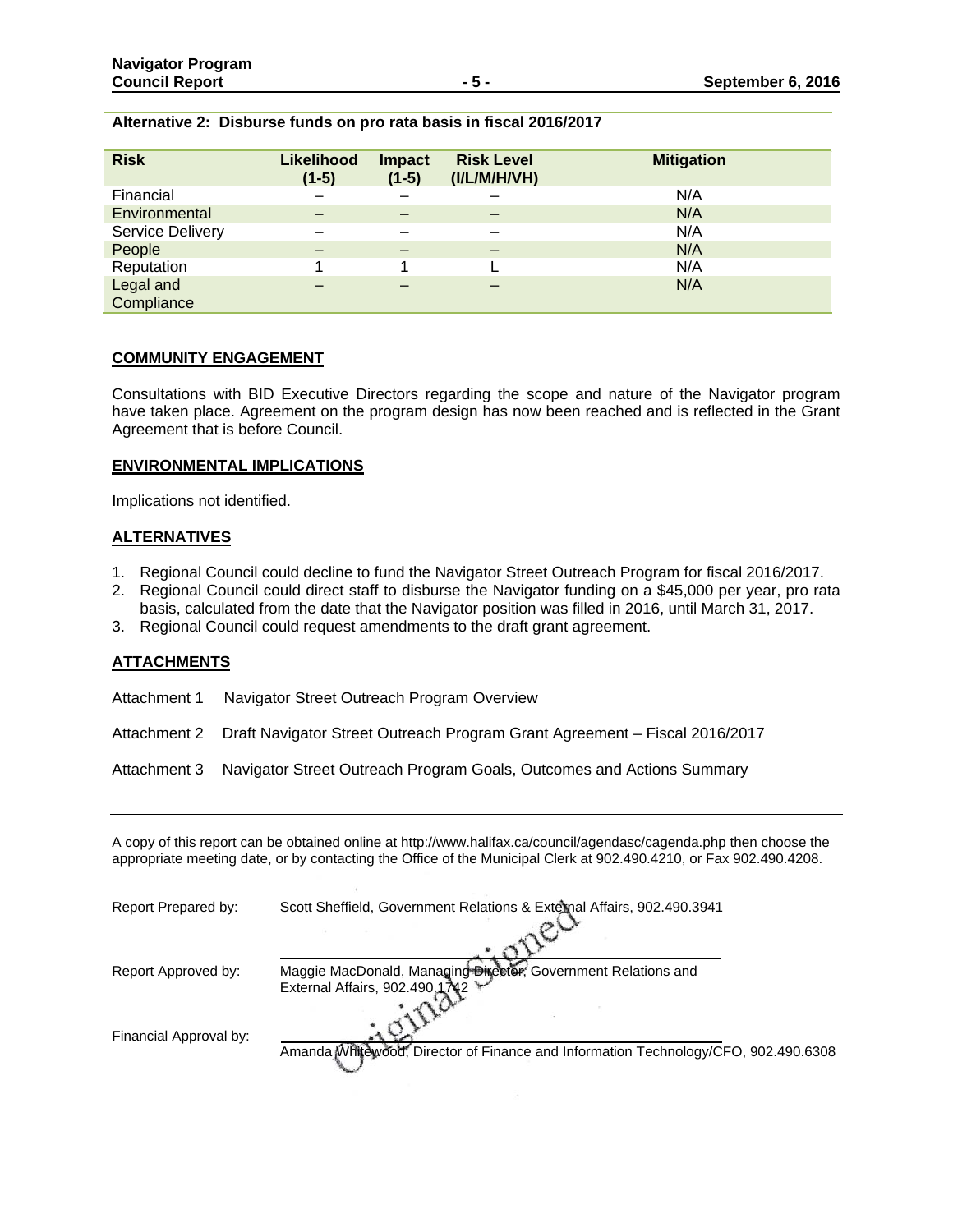| Alternative 2: Disburse funds on pro rata basis in fiscal 2016/2017 |  |  |  |  |
|---------------------------------------------------------------------|--|--|--|--|
|---------------------------------------------------------------------|--|--|--|--|

| <b>Risk</b>             | <b>Likelihood</b><br>$(1-5)$ | <b>Impact</b><br>$(1-5)$ | <b>Risk Level</b><br>(IVLM/H/VH) | <b>Mitigation</b> |
|-------------------------|------------------------------|--------------------------|----------------------------------|-------------------|
| Financial               |                              |                          |                                  | N/A               |
| Environmental           |                              | –                        |                                  | N/A               |
| Service Delivery        |                              | -                        |                                  | N/A               |
| People                  |                              | –                        |                                  | N/A               |
| Reputation              |                              |                          |                                  | N/A               |
| Legal and<br>Compliance |                              |                          |                                  | N/A               |

#### **COMMUNITY ENGAGEMENT**

Consultations with BID Executive Directors regarding the scope and nature of the Navigator program have taken place. Agreement on the program design has now been reached and is reflected in the Grant Agreement that is before Council.

#### **ENVIRONMENTAL IMPLICATIONS**

Implications not identified.

#### **ALTERNATIVES**

- 1. Regional Council could decline to fund the Navigator Street Outreach Program for fiscal 2016/2017.
- 2. Regional Council could direct staff to disburse the Navigator funding on a \$45,000 per year, pro rata basis, calculated from the date that the Navigator position was filled in 2016, until March 31, 2017.
- 3. Regional Council could request amendments to the draft grant agreement.

#### **ATTACHMENTS**

Attachment 1 Navigator Street Outreach Program Overview

Attachment 2 Draft Navigator Street Outreach Program Grant Agreement – Fiscal 2016/2017

Attachment 3 Navigator Street Outreach Program Goals, Outcomes and Actions Summary

A copy of this report can be obtained online at http://www.halifax.ca/council/agendasc/cagenda.php then choose the appropriate meeting date, or by contacting the Office of the Municipal Clerk at 902.490.4210, or Fax 902.490.4208.

| Report Prepared by:    | Scott Sheffield, Government Relations & External Affairs, 902.490.3941                          |
|------------------------|-------------------------------------------------------------------------------------------------|
| Report Approved by:    | Maggie MacDonald, Managing Director, Government Relations and<br>External Affairs, 902.490,1742 |
| Financial Approval by: | Amanda Whitewood, Director of Finance and Information Technology/CFO, 902.490.6308              |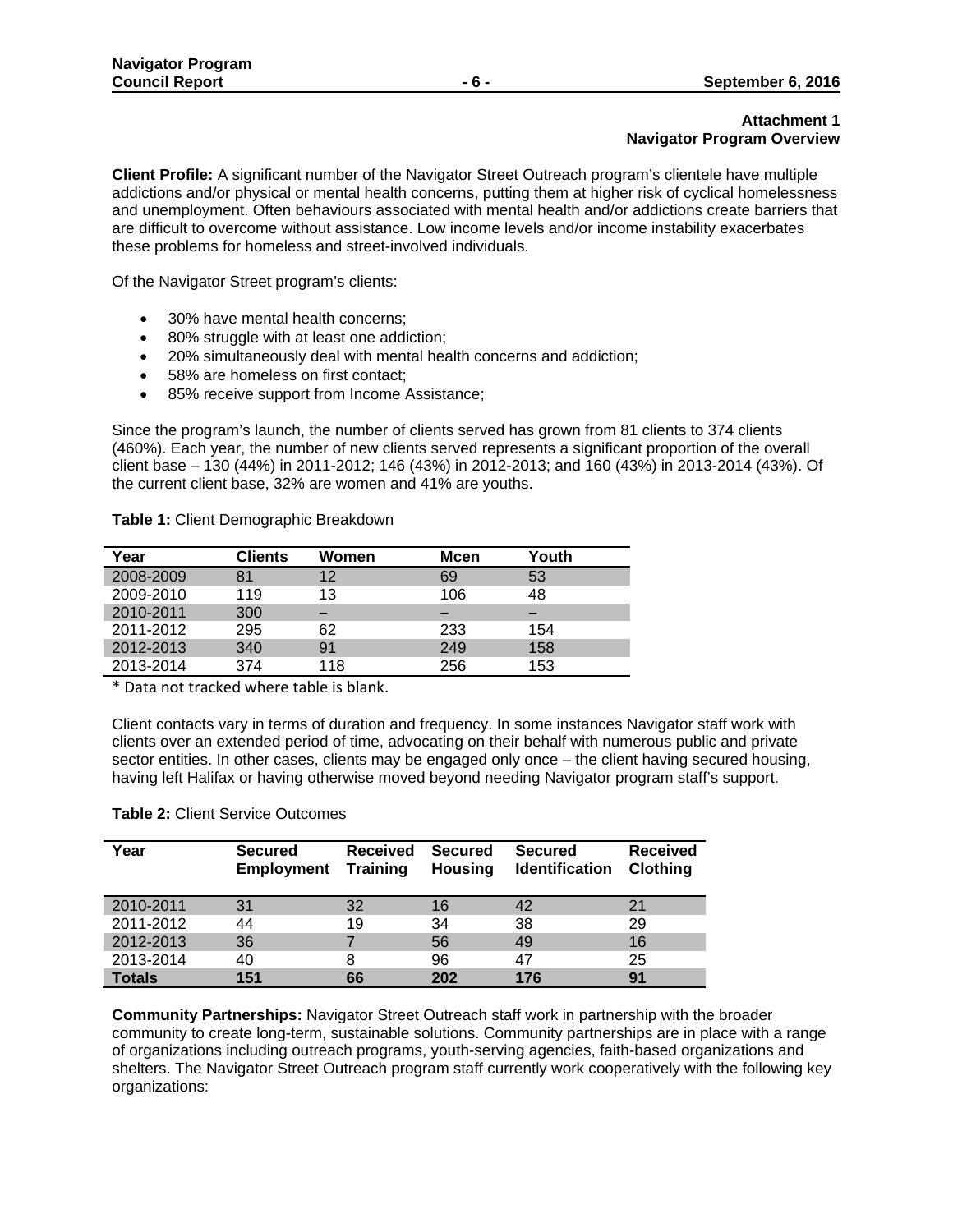# **Attachment 1 Navigator Program Overview**

**Client Profile:** A significant number of the Navigator Street Outreach program's clientele have multiple addictions and/or physical or mental health concerns, putting them at higher risk of cyclical homelessness and unemployment. Often behaviours associated with mental health and/or addictions create barriers that are difficult to overcome without assistance. Low income levels and/or income instability exacerbates these problems for homeless and street-involved individuals.

Of the Navigator Street program's clients:

- 30% have mental health concerns;
- 80% struggle with at least one addiction;
- 20% simultaneously deal with mental health concerns and addiction;
- 58% are homeless on first contact;
- 85% receive support from Income Assistance;

Since the program's launch, the number of clients served has grown from 81 clients to 374 clients (460%). Each year, the number of new clients served represents a significant proportion of the overall client base – 130 (44%) in 2011-2012; 146 (43%) in 2012-2013; and 160 (43%) in 2013-2014 (43%). Of the current client base, 32% are women and 41% are youths.

**Table 1:** Client Demographic Breakdown

| Year      | Clients | Women | <b>Mcen</b> | Youth |
|-----------|---------|-------|-------------|-------|
| 2008-2009 | 81      | 12    | 69          | 53    |
| 2009-2010 | 119     | 13    | 106         | 48    |
| 2010-2011 | 300     |       |             |       |
| 2011-2012 | 295     | 62    | 233         | 154   |
| 2012-2013 | 340     | 91    | 249         | 158   |
| 2013-2014 | 374     | 118   | 256         | 153   |

\* Data not tracked where table is blank.

Client contacts vary in terms of duration and frequency. In some instances Navigator staff work with clients over an extended period of time, advocating on their behalf with numerous public and private sector entities. In other cases, clients may be engaged only once – the client having secured housing, having left Halifax or having otherwise moved beyond needing Navigator program staff's support.

#### **Table 2:** Client Service Outcomes

| Year          | <b>Secured</b><br><b>Employment</b> | <b>Received</b><br><b>Training</b> | <b>Secured</b><br><b>Housing</b> | <b>Secured</b><br><b>Identification</b> | <b>Received</b><br><b>Clothing</b> |
|---------------|-------------------------------------|------------------------------------|----------------------------------|-----------------------------------------|------------------------------------|
| 2010-2011     | 31                                  | 32                                 | 16                               | 42                                      | 21                                 |
| 2011-2012     | 44                                  | 19                                 | 34                               | 38                                      | 29                                 |
| 2012-2013     | 36                                  |                                    | 56                               | 49                                      | 16                                 |
| 2013-2014     | 40                                  | 8                                  | 96                               | 47                                      | 25                                 |
| <b>Totals</b> | 151                                 | 66                                 | 202                              | 176                                     | 91                                 |

**Community Partnerships:** Navigator Street Outreach staff work in partnership with the broader community to create long-term, sustainable solutions. Community partnerships are in place with a range of organizations including outreach programs, youth-serving agencies, faith-based organizations and shelters. The Navigator Street Outreach program staff currently work cooperatively with the following key organizations: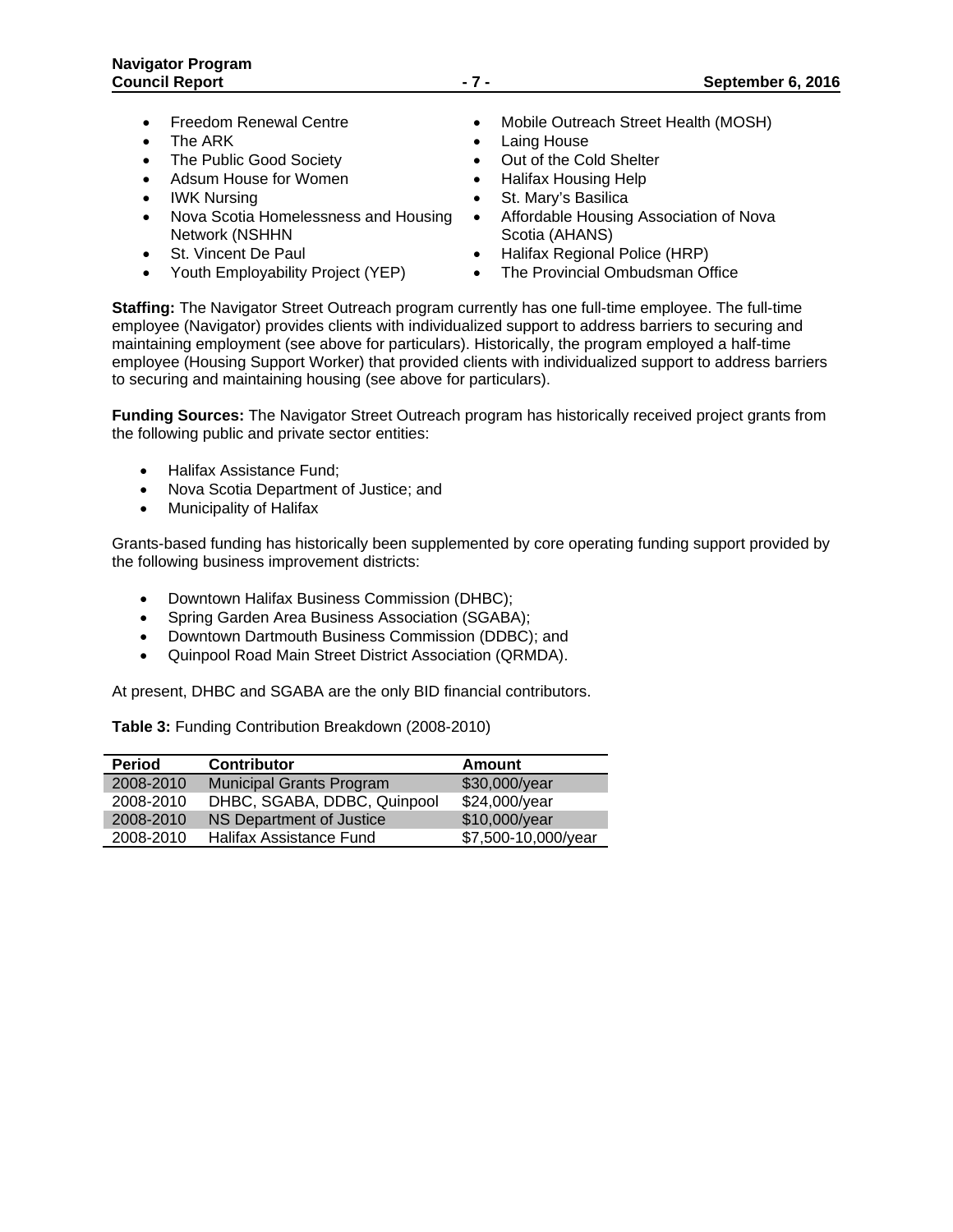- 
- 
- The Public Good Society **Construent Contract Construent** Out of the Cold Shelter
- Adsum House for Women Halifax Housing Help
- 
- Nova Scotia Homelessness and Housing Network (NSHHN
- 
- Youth Employability Project (YEP) The Provincial Ombudsman Office
- Freedom Renewal Centre **Canadian Centre 1968** Mobile Outreach Street Health (MOSH)
- The ARK Laing House
	-
	-
- IWK Nursing **St. Mary's Basilica** 
	- Affordable Housing Association of Nova Scotia (AHANS)
- St. Vincent De Paul **Cauca Communist Communist Communist Communist Communist Communist Communist Communist Communist Communist Communist Communist Communist Communist Communist Communist Communist Communist Communist Com** 
	-

**Staffing:** The Navigator Street Outreach program currently has one full-time employee. The full-time employee (Navigator) provides clients with individualized support to address barriers to securing and maintaining employment (see above for particulars). Historically, the program employed a half-time employee (Housing Support Worker) that provided clients with individualized support to address barriers to securing and maintaining housing (see above for particulars).

**Funding Sources:** The Navigator Street Outreach program has historically received project grants from the following public and private sector entities:

- Halifax Assistance Fund;
- Nova Scotia Department of Justice; and
- Municipality of Halifax

Grants-based funding has historically been supplemented by core operating funding support provided by the following business improvement districts:

- Downtown Halifax Business Commission (DHBC);
- Spring Garden Area Business Association (SGABA);
- Downtown Dartmouth Business Commission (DDBC); and
- Quinpool Road Main Street District Association (QRMDA).

At present, DHBC and SGABA are the only BID financial contributors.

**Table 3:** Funding Contribution Breakdown (2008-2010)

| <b>Period</b> | <b>Contributor</b>              | Amount              |
|---------------|---------------------------------|---------------------|
| 2008-2010     | <b>Municipal Grants Program</b> | \$30,000/year       |
| 2008-2010     | DHBC, SGABA, DDBC, Quinpool     | \$24,000/year       |
| 2008-2010     | NS Department of Justice        | \$10,000/year       |
| 2008-2010     | Halifax Assistance Fund         | \$7,500-10,000/year |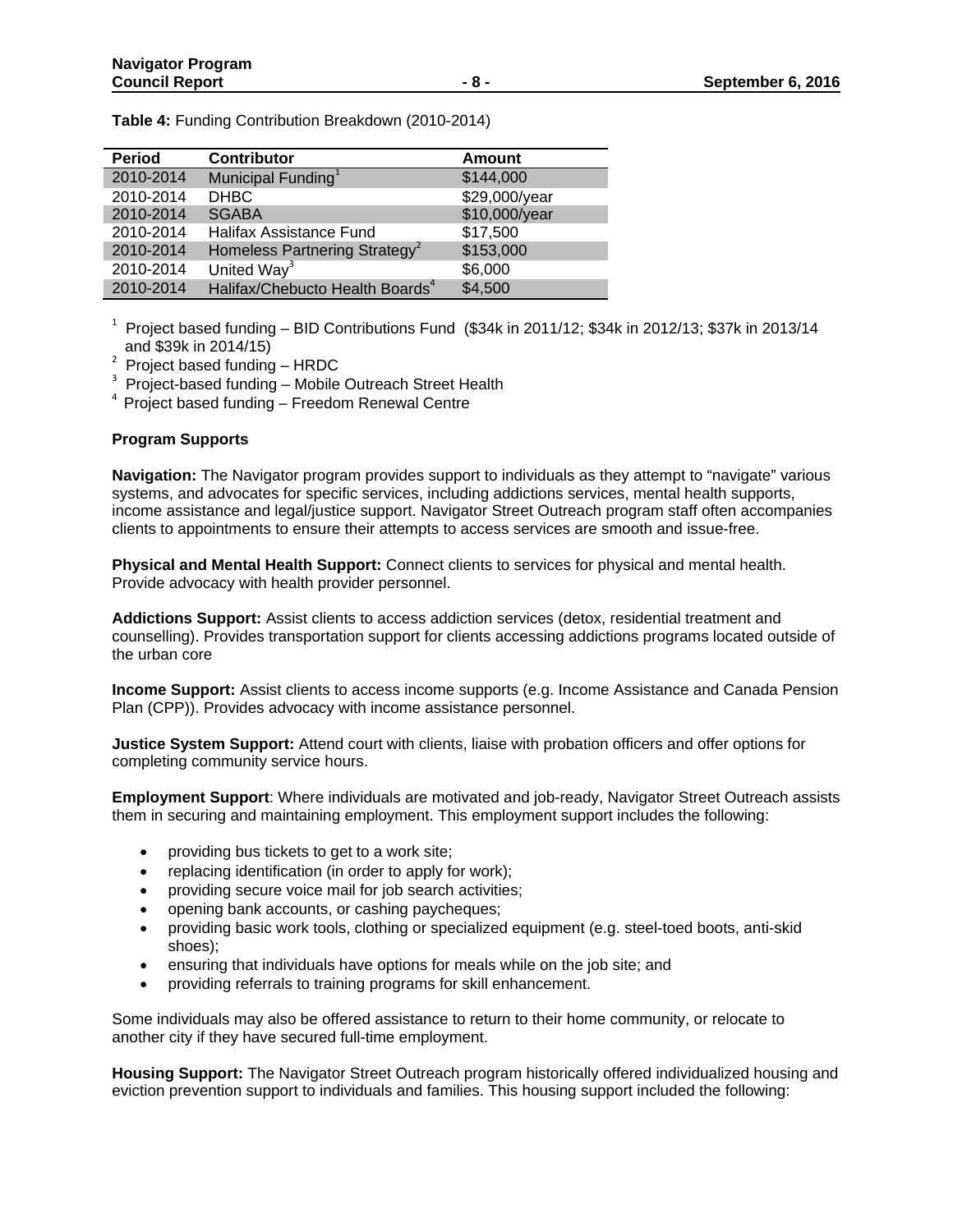**Table 4:** Funding Contribution Breakdown (2010-2014)

| <b>Period</b> | <b>Contributor</b>                          | <b>Amount</b> |
|---------------|---------------------------------------------|---------------|
| 2010-2014     | Municipal Funding <sup>1</sup>              | \$144,000     |
| 2010-2014     | <b>DHBC</b>                                 | \$29,000/year |
| 2010-2014     | <b>SGABA</b>                                | \$10,000/year |
| 2010-2014     | Halifax Assistance Fund                     | \$17,500      |
| 2010-2014     | Homeless Partnering Strategy <sup>2</sup>   | \$153,000     |
| 2010-2014     | United Way <sup>3</sup>                     | \$6,000       |
| 2010-2014     | Halifax/Chebucto Health Boards <sup>4</sup> | \$4,500       |

<sup>1</sup> Project based funding – BID Contributions Fund (\$34k in 2011/12; \$34k in 2012/13; \$37k in 2013/14 and \$39k in 2014/15)

 $2$  Project based funding - HRDC

 $3$  Project-based funding – Mobile Outreach Street Health

 $4$  Project based funding – Freedom Renewal Centre

# **Program Supports**

**Navigation:** The Navigator program provides support to individuals as they attempt to "navigate" various systems, and advocates for specific services, including addictions services, mental health supports, income assistance and legal/justice support. Navigator Street Outreach program staff often accompanies clients to appointments to ensure their attempts to access services are smooth and issue-free.

**Physical and Mental Health Support:** Connect clients to services for physical and mental health. Provide advocacy with health provider personnel.

**Addictions Support:** Assist clients to access addiction services (detox, residential treatment and counselling). Provides transportation support for clients accessing addictions programs located outside of the urban core

**Income Support:** Assist clients to access income supports (e.g. Income Assistance and Canada Pension Plan (CPP)). Provides advocacy with income assistance personnel.

**Justice System Support:** Attend court with clients, liaise with probation officers and offer options for completing community service hours.

**Employment Support**: Where individuals are motivated and job-ready, Navigator Street Outreach assists them in securing and maintaining employment. This employment support includes the following:

- providing bus tickets to get to a work site;
- replacing identification (in order to apply for work);
- providing secure voice mail for job search activities;
- opening bank accounts, or cashing paycheques;
- providing basic work tools, clothing or specialized equipment (e.g. steel-toed boots, anti-skid shoes);
- ensuring that individuals have options for meals while on the job site; and
- providing referrals to training programs for skill enhancement.

Some individuals may also be offered assistance to return to their home community, or relocate to another city if they have secured full-time employment.

**Housing Support:** The Navigator Street Outreach program historically offered individualized housing and eviction prevention support to individuals and families. This housing support included the following: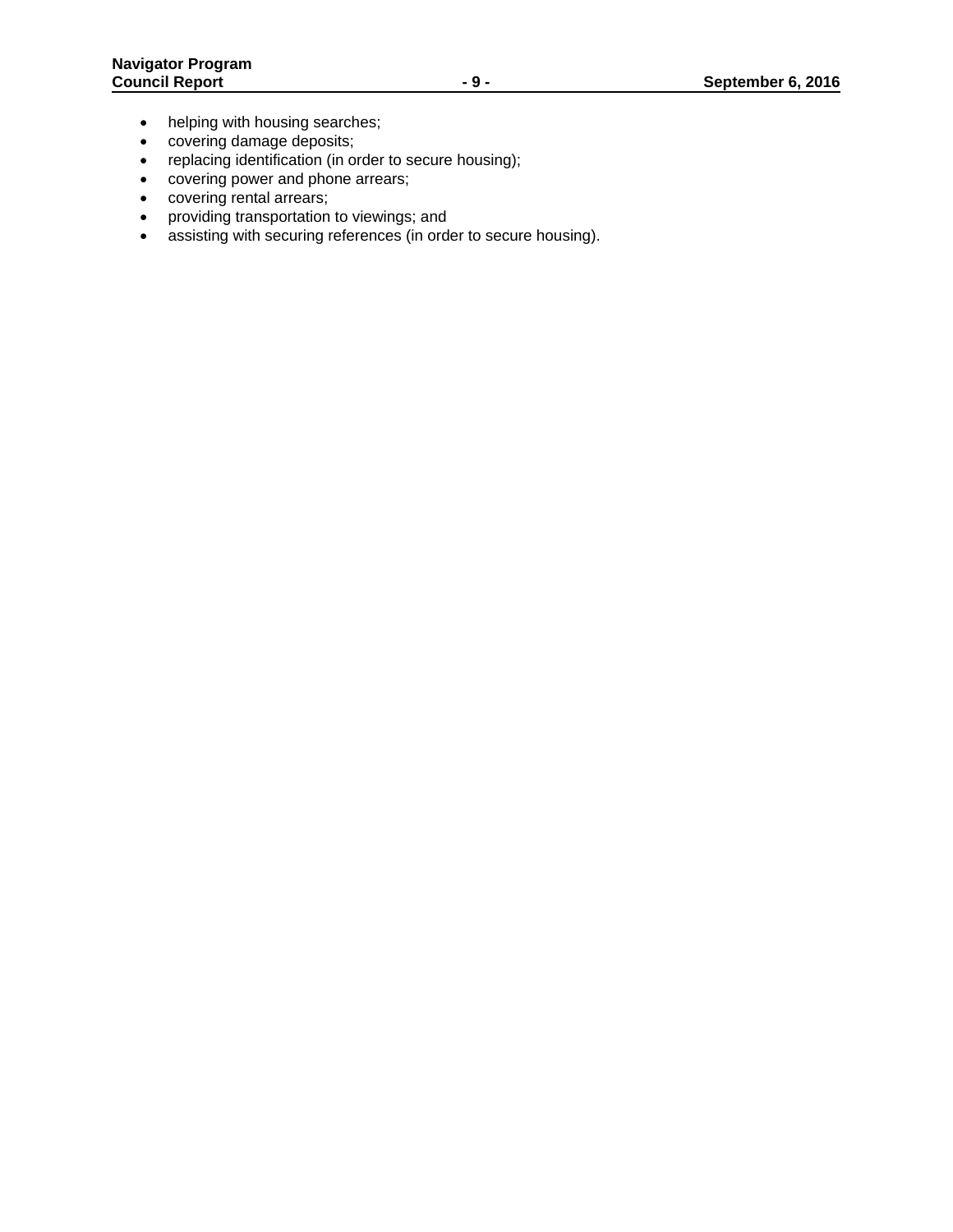- helping with housing searches;
- covering damage deposits;
- replacing identification (in order to secure housing);
- covering power and phone arrears;
- covering rental arrears;
- providing transportation to viewings; and
- assisting with securing references (in order to secure housing).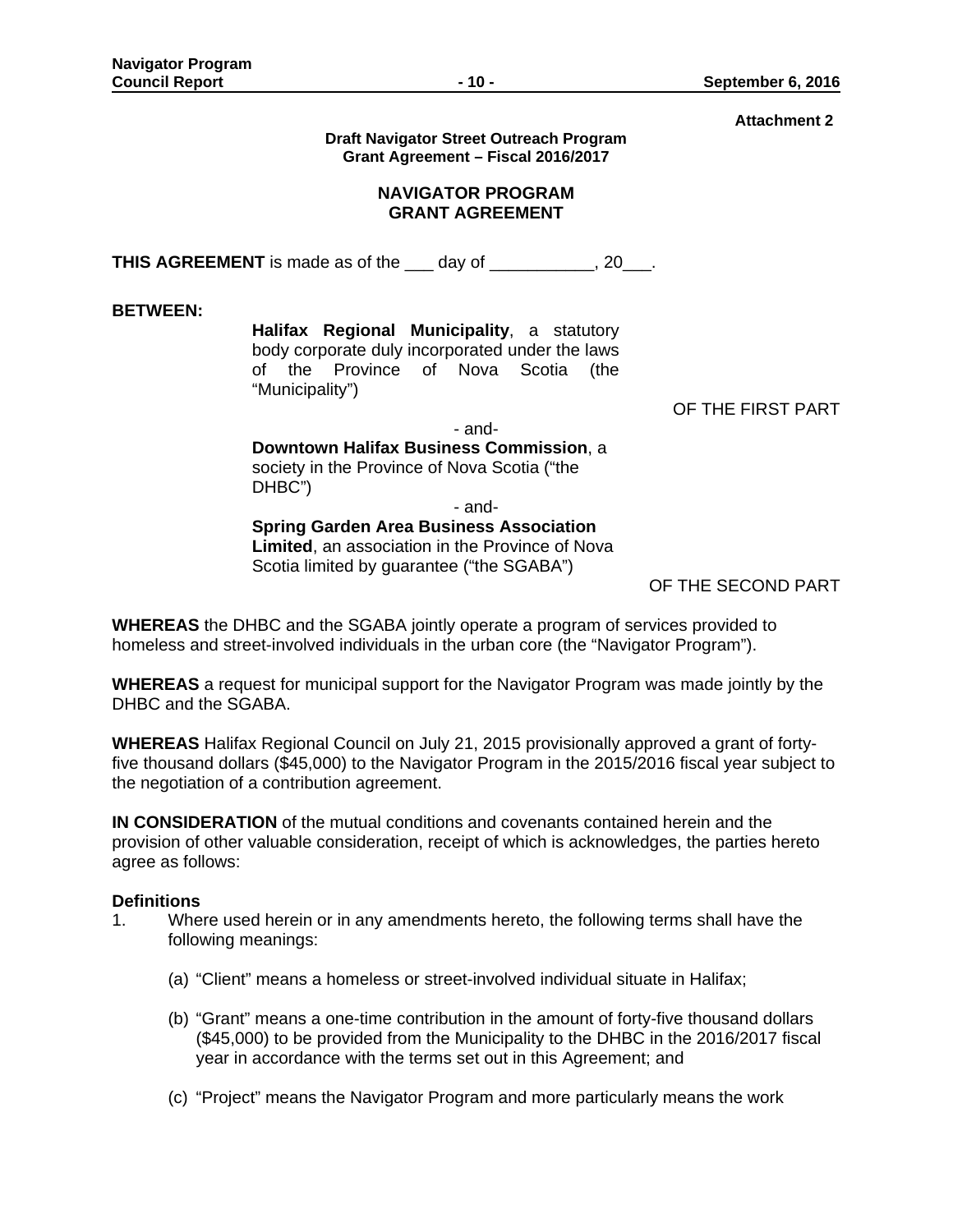**Attachment 2** 

| Draft Navigator Street Outreach Program |  |
|-----------------------------------------|--|
| Grant Agreement - Fiscal 2016/2017      |  |

# **NAVIGATOR PROGRAM GRANT AGREEMENT**

**THIS AGREEMENT** is made as of the \_\_\_ day of \_\_\_\_\_\_\_\_\_\_, 20\_\_\_.

**BETWEEN:**

**Halifax Regional Municipality**, a statutory body corporate duly incorporated under the laws of the Province of Nova Scotia (the "Municipality")

OF THE FIRST PART

- and-**Downtown Halifax Business Commission**, a society in the Province of Nova Scotia ("the DHBC")

- and-

**Spring Garden Area Business Association Limited**, an association in the Province of Nova Scotia limited by guarantee ("the SGABA")

OF THE SECOND PART

**WHEREAS** the DHBC and the SGABA jointly operate a program of services provided to homeless and street-involved individuals in the urban core (the "Navigator Program").

**WHEREAS** a request for municipal support for the Navigator Program was made jointly by the DHBC and the SGABA.

**WHEREAS** Halifax Regional Council on July 21, 2015 provisionally approved a grant of fortyfive thousand dollars (\$45,000) to the Navigator Program in the 2015/2016 fiscal year subject to the negotiation of a contribution agreement.

**IN CONSIDERATION** of the mutual conditions and covenants contained herein and the provision of other valuable consideration, receipt of which is acknowledges, the parties hereto agree as follows:

# **Definitions**

- 1. Where used herein or in any amendments hereto, the following terms shall have the following meanings:
	- (a) "Client" means a homeless or street-involved individual situate in Halifax;
	- (b) "Grant" means a one-time contribution in the amount of forty-five thousand dollars (\$45,000) to be provided from the Municipality to the DHBC in the 2016/2017 fiscal year in accordance with the terms set out in this Agreement; and
	- (c) "Project" means the Navigator Program and more particularly means the work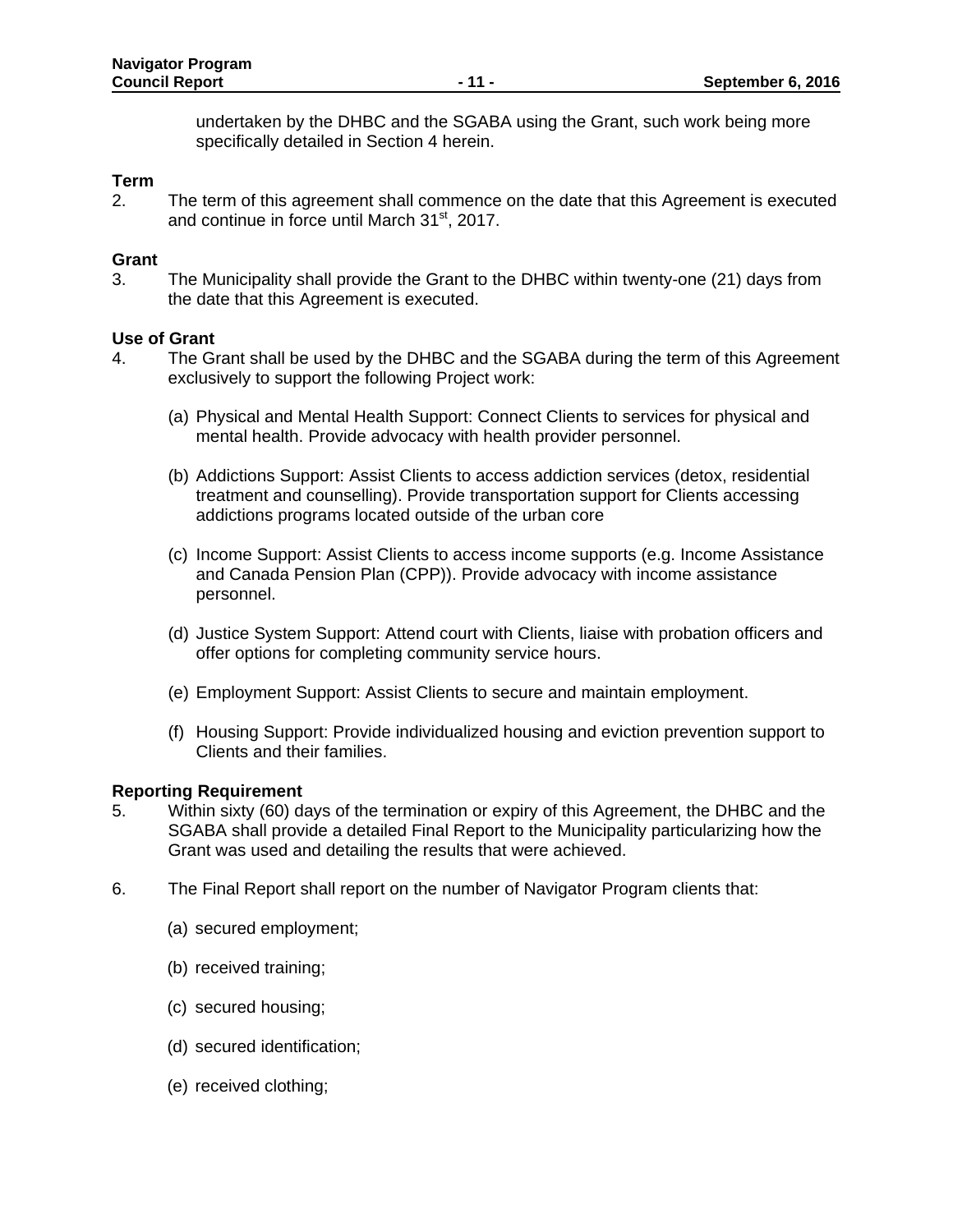undertaken by the DHBC and the SGABA using the Grant, such work being more specifically detailed in Section 4 herein.

# **Term**

2. The term of this agreement shall commence on the date that this Agreement is executed and continue in force until March 31<sup>st</sup>, 2017.

# **Grant**

3. The Municipality shall provide the Grant to the DHBC within twenty-one (21) days from the date that this Agreement is executed.

# **Use of Grant**

- 4. The Grant shall be used by the DHBC and the SGABA during the term of this Agreement exclusively to support the following Project work:
	- (a) Physical and Mental Health Support: Connect Clients to services for physical and mental health. Provide advocacy with health provider personnel.
	- (b) Addictions Support: Assist Clients to access addiction services (detox, residential treatment and counselling). Provide transportation support for Clients accessing addictions programs located outside of the urban core
	- (c) Income Support: Assist Clients to access income supports (e.g. Income Assistance and Canada Pension Plan (CPP)). Provide advocacy with income assistance personnel.
	- (d) Justice System Support: Attend court with Clients, liaise with probation officers and offer options for completing community service hours.
	- (e) Employment Support: Assist Clients to secure and maintain employment.
	- (f) Housing Support: Provide individualized housing and eviction prevention support to Clients and their families.

### **Reporting Requirement**

- 5. Within sixty (60) days of the termination or expiry of this Agreement, the DHBC and the SGABA shall provide a detailed Final Report to the Municipality particularizing how the Grant was used and detailing the results that were achieved.
- 6. The Final Report shall report on the number of Navigator Program clients that:
	- (a) secured employment;
	- (b) received training;
	- (c) secured housing;
	- (d) secured identification;
	- (e) received clothing;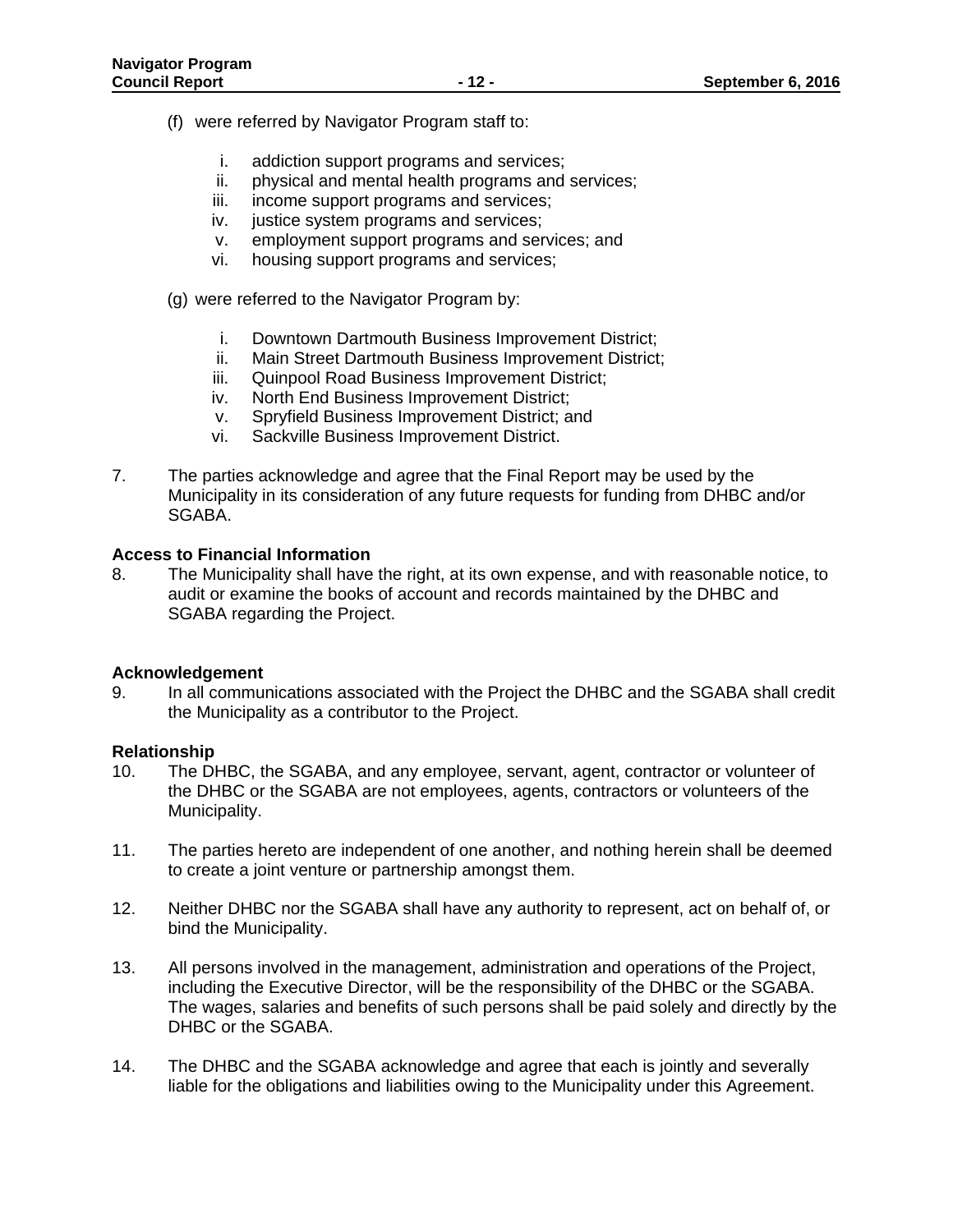- (f) were referred by Navigator Program staff to:
	- i. addiction support programs and services;
	- ii. physical and mental health programs and services;
	- iii. income support programs and services;
	- iv. justice system programs and services;
	- v. employment support programs and services; and
	- vi. housing support programs and services;
- (g) were referred to the Navigator Program by:
	- i. Downtown Dartmouth Business Improvement District;
	- ii. Main Street Dartmouth Business Improvement District;
	- iii. Quinpool Road Business Improvement District;
	- iv. North End Business Improvement District;
	- v. Spryfield Business Improvement District; and
	- vi. Sackville Business Improvement District.
- 7. The parties acknowledge and agree that the Final Report may be used by the Municipality in its consideration of any future requests for funding from DHBC and/or SGABA.

# **Access to Financial Information**

8. The Municipality shall have the right, at its own expense, and with reasonable notice, to audit or examine the books of account and records maintained by the DHBC and SGABA regarding the Project.

# **Acknowledgement**

9. In all communications associated with the Project the DHBC and the SGABA shall credit the Municipality as a contributor to the Project.

# **Relationship**

- 10. The DHBC, the SGABA, and any employee, servant, agent, contractor or volunteer of the DHBC or the SGABA are not employees, agents, contractors or volunteers of the Municipality.
- 11. The parties hereto are independent of one another, and nothing herein shall be deemed to create a joint venture or partnership amongst them.
- 12. Neither DHBC nor the SGABA shall have any authority to represent, act on behalf of, or bind the Municipality.
- 13. All persons involved in the management, administration and operations of the Project, including the Executive Director, will be the responsibility of the DHBC or the SGABA. The wages, salaries and benefits of such persons shall be paid solely and directly by the DHBC or the SGABA.
- 14. The DHBC and the SGABA acknowledge and agree that each is jointly and severally liable for the obligations and liabilities owing to the Municipality under this Agreement.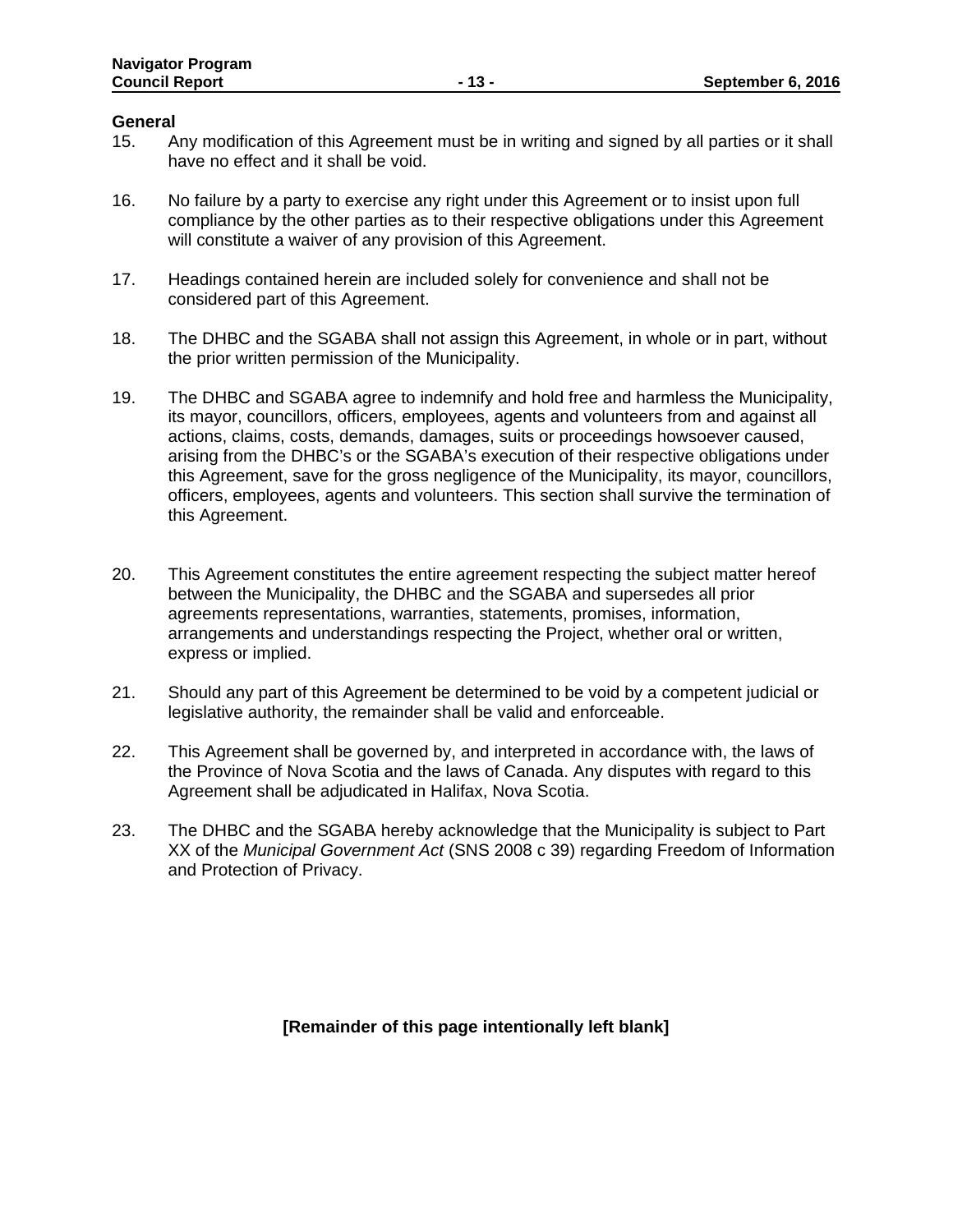#### **General**

- 15. Any modification of this Agreement must be in writing and signed by all parties or it shall have no effect and it shall be void.
- 16. No failure by a party to exercise any right under this Agreement or to insist upon full compliance by the other parties as to their respective obligations under this Agreement will constitute a waiver of any provision of this Agreement.
- 17. Headings contained herein are included solely for convenience and shall not be considered part of this Agreement.
- 18. The DHBC and the SGABA shall not assign this Agreement, in whole or in part, without the prior written permission of the Municipality.
- 19. The DHBC and SGABA agree to indemnify and hold free and harmless the Municipality, its mayor, councillors, officers, employees, agents and volunteers from and against all actions, claims, costs, demands, damages, suits or proceedings howsoever caused, arising from the DHBC's or the SGABA's execution of their respective obligations under this Agreement, save for the gross negligence of the Municipality, its mayor, councillors, officers, employees, agents and volunteers. This section shall survive the termination of this Agreement.
- 20. This Agreement constitutes the entire agreement respecting the subject matter hereof between the Municipality, the DHBC and the SGABA and supersedes all prior agreements representations, warranties, statements, promises, information, arrangements and understandings respecting the Project, whether oral or written, express or implied.
- 21. Should any part of this Agreement be determined to be void by a competent judicial or legislative authority, the remainder shall be valid and enforceable.
- 22. This Agreement shall be governed by, and interpreted in accordance with, the laws of the Province of Nova Scotia and the laws of Canada. Any disputes with regard to this Agreement shall be adjudicated in Halifax, Nova Scotia.
- 23. The DHBC and the SGABA hereby acknowledge that the Municipality is subject to Part XX of the *Municipal Government Act* (SNS 2008 c 39) regarding Freedom of Information and Protection of Privacy.

**[Remainder of this page intentionally left blank]**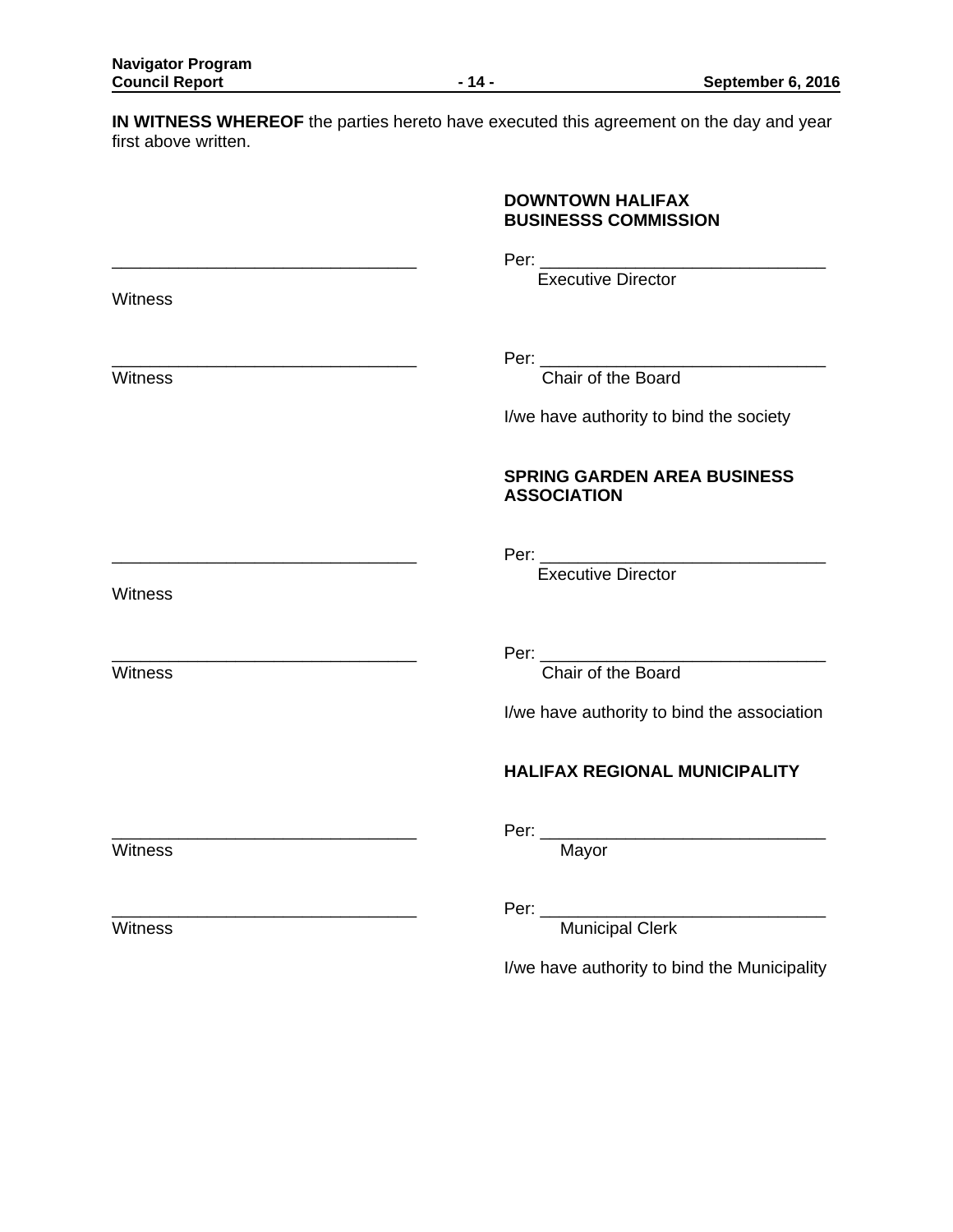**IN WITNESS WHEREOF** the parties hereto have executed this agreement on the day and year first above written.

| <b>DOWNTOWN HALIFAX</b>     |
|-----------------------------|
| <b>BUSINESSS COMMISSION</b> |

\_\_\_\_\_\_\_\_\_\_\_\_\_\_\_\_\_\_\_\_\_\_\_\_\_\_\_\_\_\_\_\_ Per: \_\_\_\_\_\_\_\_\_\_\_\_\_\_\_\_\_\_\_\_\_\_\_\_\_\_\_\_\_\_

Executive Director

\_\_\_\_\_\_\_\_\_\_\_\_\_\_\_\_\_\_\_\_\_\_\_\_\_\_\_\_\_\_\_\_ Per: \_\_\_\_\_\_\_\_\_\_\_\_\_\_\_\_\_\_\_\_\_\_\_\_\_\_\_\_\_\_

Witness **Chair of the Board** 

I/we have authority to bind the society

# **SPRING GARDEN AREA BUSINESS ASSOCIATION**

\_\_\_\_\_\_\_\_\_\_\_\_\_\_\_\_\_\_\_\_\_\_\_\_\_\_\_\_\_\_\_\_ Per: \_\_\_\_\_\_\_\_\_\_\_\_\_\_\_\_\_\_\_\_\_\_\_\_\_\_\_\_\_\_

Executive Director

Witness

**Witness** 

\_\_\_\_\_\_\_\_\_\_\_\_\_\_\_\_\_\_\_\_\_\_\_\_\_\_\_\_\_\_\_\_ Per: \_\_\_\_\_\_\_\_\_\_\_\_\_\_\_\_\_\_\_\_\_\_\_\_\_\_\_\_\_\_

Witness **Chair of the Board** 

I/we have authority to bind the association

# **HALIFAX REGIONAL MUNICIPALITY**

Witness Mayor

\_\_\_\_\_\_\_\_\_\_\_\_\_\_\_\_\_\_\_\_\_\_\_\_\_\_\_\_\_\_\_\_ Per: \_\_\_\_\_\_\_\_\_\_\_\_\_\_\_\_\_\_\_\_\_\_\_\_\_\_\_\_\_\_

\_\_\_\_\_\_\_\_\_\_\_\_\_\_\_\_\_\_\_\_\_\_\_\_\_\_\_\_\_\_\_\_ Per: \_\_\_\_\_\_\_\_\_\_\_\_\_\_\_\_\_\_\_\_\_\_\_\_\_\_\_\_\_\_ Witness **Municipal Clerk** Municipal Clerk

I/we have authority to bind the Municipality